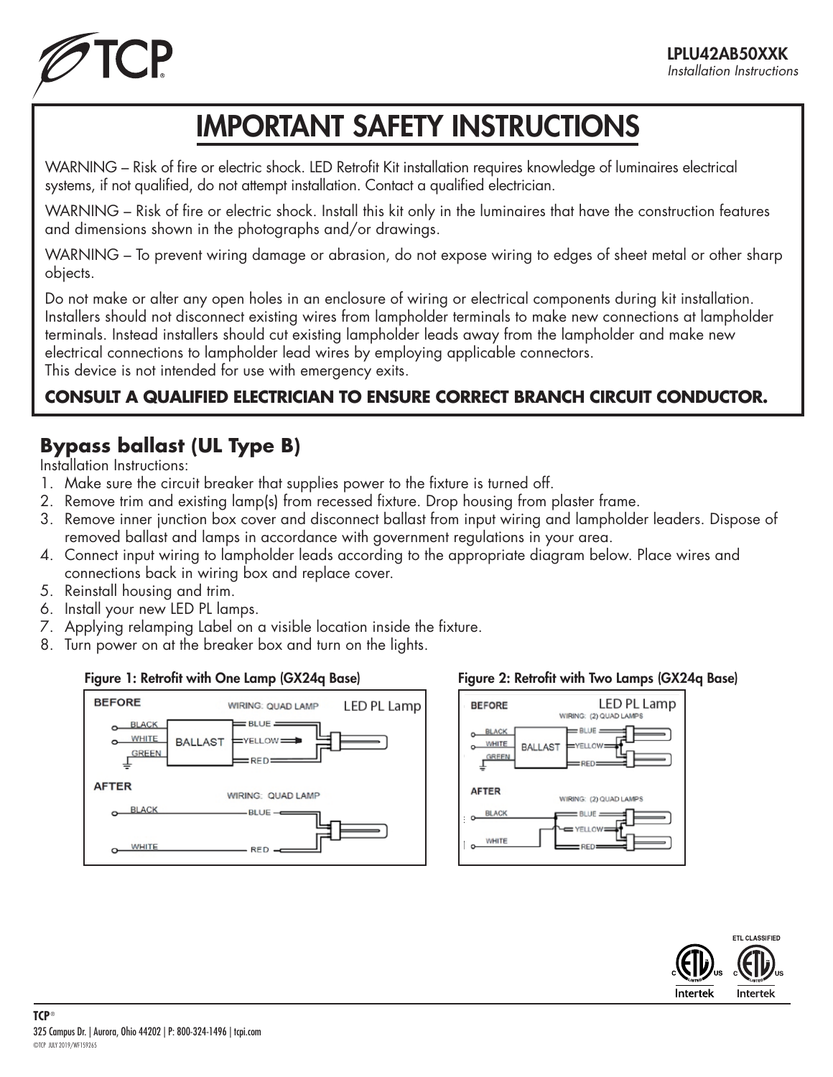

# IMPORTANT SAFETY INSTRUCTIONS

WARNING – Risk of fire or electric shock. LED Retrofit Kit installation requires knowledge of luminaires electrical systems, if not qualified, do not attempt installation. Contact a qualified electrician.

WARNING – Risk of fire or electric shock. Install this kit only in the luminaires that have the construction features and dimensions shown in the photographs and/or drawings.

WARNING – To prevent wiring damage or abrasion, do not expose wiring to edges of sheet metal or other sharp objects.

Do not make or alter any open holes in an enclosure of wiring or electrical components during kit installation. Installers should not disconnect existing wires from lampholder terminals to make new connections at lampholder terminals. Instead installers should cut existing lampholder leads away from the lampholder and make new electrical connections to lampholder lead wires by employing applicable connectors. This device is not intended for use with emergency exits.

## **CONSULT A QUALIFIED ELECTRICIAN TO ENSURE CORRECT BRANCH CIRCUIT CONDUCTOR.**

## **Bypass ballast (UL Type B)**

Installation Instructions:

- 1. Make sure the circuit breaker that supplies power to the fixture is turned off.
- 2. Remove trim and existing lamp(s) from recessed fixture. Drop housing from plaster frame.
- 3. Remove inner junction box cover and disconnect ballast from input wiring and lampholder leaders. Dispose of removed ballast and lamps in accordance with government regulations in your area.
- 4. Connect input wiring to lampholder leads according to the appropriate diagram below. Place wires and connections back in wiring box and replace cover.
- 5. Reinstall housing and trim.
- 6. Install your new LED PL lamps.
- 7. Applying relamping Label on a visible location inside the fixture.
- 8. Turn power on at the breaker box and turn on the lights.

### Figure 1: Retrofit with One Lamp (GX24q Base)



### Figure 2: Retrofit with Two Lamps (GX24q Base)